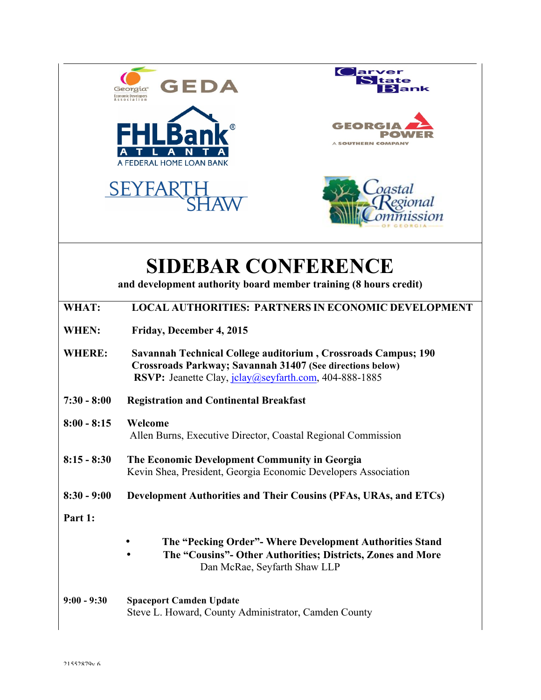|               | GEDA<br>ank<br><b>Economic Developers</b><br>ssociation                                                                                                                                           |
|---------------|---------------------------------------------------------------------------------------------------------------------------------------------------------------------------------------------------|
|               | GEOR<br>SOUTHERN COMPAN<br>A FEDERAL HOME LOAN BANK                                                                                                                                               |
|               |                                                                                                                                                                                                   |
|               | <b>SIDEBAR CONFERENCE</b><br>and development authority board member training (8 hours credit)                                                                                                     |
| WHAT:         | <b>LOCAL AUTHORITIES: PARTNERS IN ECONOMIC DEVELOPMENT</b>                                                                                                                                        |
| WHEN:         | Friday, December 4, 2015                                                                                                                                                                          |
| <b>WHERE:</b> | Savannah Technical College auditorium, Crossroads Campus; 190<br><b>Crossroads Parkway; Savannah 31407 (See directions below)</b><br><b>RSVP:</b> Jeanette Clay, jclay@seyfarth.com, 404-888-1885 |
| $7:30 - 8:00$ | <b>Registration and Continental Breakfast</b>                                                                                                                                                     |
| $8:00 - 8:15$ | Welcome<br>Allen Burns, Executive Director, Coastal Regional Commission                                                                                                                           |
| $8:15 - 8:30$ | The Economic Development Community in Georgia<br>Kevin Shea, President, Georgia Economic Developers Association                                                                                   |
| $8:30 - 9:00$ | Development Authorities and Their Cousins (PFAs, URAs, and ETCs)                                                                                                                                  |
| Part 1:       |                                                                                                                                                                                                   |
|               | The "Pecking Order" - Where Development Authorities Stand<br>The "Cousins"- Other Authorities; Districts, Zones and More<br>Dan McRae, Seyfarth Shaw LLP                                          |
| $9:00 - 9:30$ | <b>Spaceport Camden Update</b><br>Steve L. Howard, County Administrator, Camden County                                                                                                            |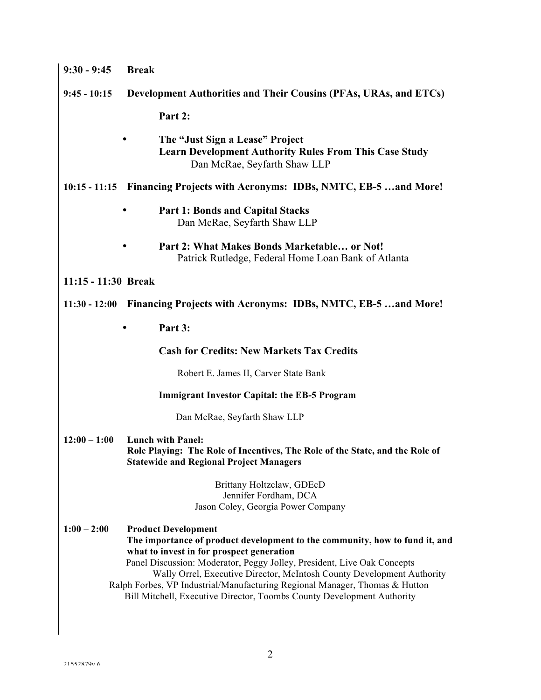| $9:30 - 9:45$                                                                    | <b>Break</b>                                                                                                                                                                                                                                                                                                                                                                                                                                                         |  |
|----------------------------------------------------------------------------------|----------------------------------------------------------------------------------------------------------------------------------------------------------------------------------------------------------------------------------------------------------------------------------------------------------------------------------------------------------------------------------------------------------------------------------------------------------------------|--|
| $9:45 - 10:15$                                                                   | Development Authorities and Their Cousins (PFAs, URAs, and ETCs)                                                                                                                                                                                                                                                                                                                                                                                                     |  |
|                                                                                  | Part 2:                                                                                                                                                                                                                                                                                                                                                                                                                                                              |  |
|                                                                                  | The "Just Sign a Lease" Project<br><b>Learn Development Authority Rules From This Case Study</b><br>Dan McRae, Seyfarth Shaw LLP                                                                                                                                                                                                                                                                                                                                     |  |
|                                                                                  | 10:15 - 11:15 Financing Projects with Acronyms: IDBs, NMTC, EB-5 and More!                                                                                                                                                                                                                                                                                                                                                                                           |  |
|                                                                                  | <b>Part 1: Bonds and Capital Stacks</b><br>Dan McRae, Seyfarth Shaw LLP                                                                                                                                                                                                                                                                                                                                                                                              |  |
|                                                                                  | Part 2: What Makes Bonds Marketable or Not!<br>Patrick Rutledge, Federal Home Loan Bank of Atlanta                                                                                                                                                                                                                                                                                                                                                                   |  |
| 11:15 - 11:30 Break                                                              |                                                                                                                                                                                                                                                                                                                                                                                                                                                                      |  |
| Financing Projects with Acronyms: IDBs, NMTC, EB-5  and More!<br>$11:30 - 12:00$ |                                                                                                                                                                                                                                                                                                                                                                                                                                                                      |  |
|                                                                                  | Part 3:                                                                                                                                                                                                                                                                                                                                                                                                                                                              |  |
|                                                                                  | <b>Cash for Credits: New Markets Tax Credits</b>                                                                                                                                                                                                                                                                                                                                                                                                                     |  |
|                                                                                  | Robert E. James II, Carver State Bank                                                                                                                                                                                                                                                                                                                                                                                                                                |  |
|                                                                                  | <b>Immigrant Investor Capital: the EB-5 Program</b>                                                                                                                                                                                                                                                                                                                                                                                                                  |  |
|                                                                                  | Dan McRae, Seyfarth Shaw LLP                                                                                                                                                                                                                                                                                                                                                                                                                                         |  |
| $12:00 - 1:00$                                                                   | <b>Lunch with Panel:</b><br>Role Playing: The Role of Incentives, The Role of the State, and the Role of<br><b>Statewide and Regional Project Managers</b>                                                                                                                                                                                                                                                                                                           |  |
|                                                                                  | Brittany Holtzclaw, GDEcD<br>Jennifer Fordham, DCA<br>Jason Coley, Georgia Power Company                                                                                                                                                                                                                                                                                                                                                                             |  |
| $1:00 - 2:00$                                                                    | <b>Product Development</b><br>The importance of product development to the community, how to fund it, and<br>what to invest in for prospect generation<br>Panel Discussion: Moderator, Peggy Jolley, President, Live Oak Concepts<br>Wally Orrel, Executive Director, McIntosh County Development Authority<br>Ralph Forbes, VP Industrial/Manufacturing Regional Manager, Thomas & Hutton<br>Bill Mitchell, Executive Director, Toombs County Development Authority |  |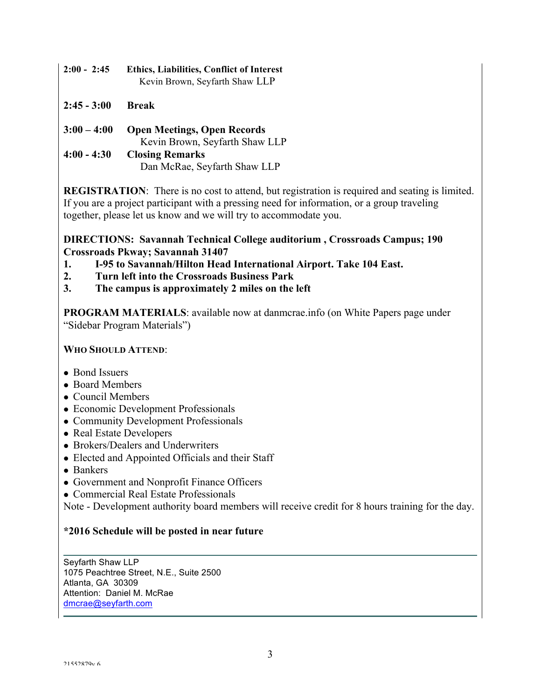- **2:00 2:45 Ethics, Liabilities, Conflict of Interest**  Kevin Brown, Seyfarth Shaw LLP
- **2:45 - 3:00 Break**

| $3:00 - 4:00$ | <b>Open Meetings, Open Records</b> |
|---------------|------------------------------------|
|               | Kevin Brown, Seyfarth Shaw LLP     |
| $4:00 - 4:30$ | <b>Closing Remarks</b>             |
|               | Dan McRae, Seyfarth Shaw LLP       |

**REGISTRATION**: There is no cost to attend, but registration is required and seating is limited. If you are a project participant with a pressing need for information, or a group traveling together, please let us know and we will try to accommodate you.

## **DIRECTIONS: Savannah Technical College auditorium , Crossroads Campus; 190 Crossroads Pkway; Savannah 31407**

- **1. I-95 to Savannah/Hilton Head International Airport. Take 104 East.**
- **2. Turn left into the Crossroads Business Park**
- **3. The campus is approximately 2 miles on the left**

**PROGRAM MATERIALS**: available now at danmcrae.info (on White Papers page under "Sidebar Program Materials")

## **WHO SHOULD ATTEND**:

- Bond Issuers
- Board Members
- $\bullet$  Council Members
- Economic Development Professionals
- Community Development Professionals
- Real Estate Developers
- Brokers/Dealers and Underwriters
- Elected and Appointed Officials and their Staff
- Bankers
- Government and Nonprofit Finance Officers
- Commercial Real Estate Professionals

Note - Development authority board members will receive credit for 8 hours training for the day.

## **\*2016 Schedule will be posted in near future**

Seyfarth Shaw LLP 1075 Peachtree Street, N.E., Suite 2500 Atlanta, GA 30309 Attention: Daniel M. McRae dmcrae@seyfarth.com